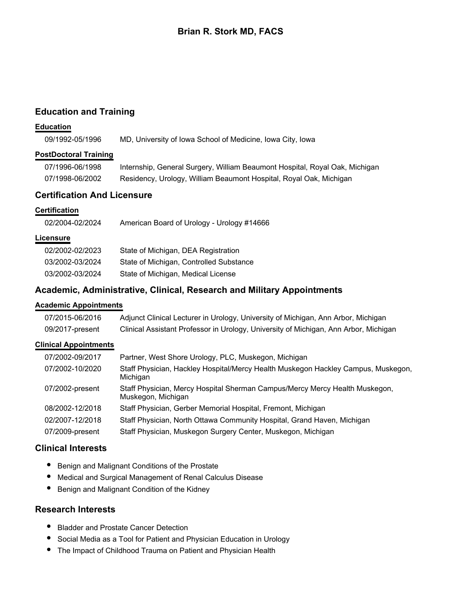# **Brian R. Stork MD, FACS**

# **Education and Training**

## **Education**

09/1992-05/1996 MD, University of Iowa School of Medicine, Iowa City, Iowa

## **PostDoctoral Training**

| 07/1996-06/1998 | Internship, General Surgery, William Beaumont Hospital, Royal Oak, Michigan |
|-----------------|-----------------------------------------------------------------------------|
| 07/1998-06/2002 | Residency, Urology, William Beaumont Hospital, Royal Oak, Michigan          |

# **Certification And Licensure**

## **Certification**

| American Board of Urology - Urology #14666 |
|--------------------------------------------|
|                                            |

## **Licensure**

| 02/2002-02/2023 | State of Michigan, DEA Registration     |
|-----------------|-----------------------------------------|
| 03/2002-03/2024 | State of Michigan, Controlled Substance |
| 03/2002-03/2024 | State of Michigan, Medical License      |

# **Academic, Administrative, Clinical, Research and Military Appointments**

## **Academic Appointments**

| 07/2015-06/2016 | Adjunct Clinical Lecturer in Urology, University of Michigan, Ann Arbor, Michigan    |
|-----------------|--------------------------------------------------------------------------------------|
| 09/2017-present | Clinical Assistant Professor in Urology, University of Michigan, Ann Arbor, Michigan |

## **Clinical Appointments**

| 07/2002-09/2017 | Partner, West Shore Urology, PLC, Muskegon, Michigan                                              |
|-----------------|---------------------------------------------------------------------------------------------------|
| 07/2002-10/2020 | Staff Physician, Hackley Hospital/Mercy Health Muskegon Hackley Campus, Muskegon,<br>Michigan     |
| 07/2002-present | Staff Physician, Mercy Hospital Sherman Campus/Mercy Mercy Health Muskegon,<br>Muskegon, Michigan |
| 08/2002-12/2018 | Staff Physician, Gerber Memorial Hospital, Fremont, Michigan                                      |
| 02/2007-12/2018 | Staff Physician, North Ottawa Community Hospital, Grand Haven, Michigan                           |
| 07/2009-present | Staff Physician, Muskegon Surgery Center, Muskegon, Michigan                                      |

# **Clinical Interests**

- Benign and Malignant Conditions of the Prostate
- Medical and Surgical Management of Renal Calculus Disease
- $\bullet$ Benign and Malignant Condition of the Kidney

## **Research Interests**

- Bladder and Prostate Cancer Detection
- Social Media as a Tool for Patient and Physician Education in Urology
- $\bullet$ The Impact of Childhood Trauma on Patient and Physician Health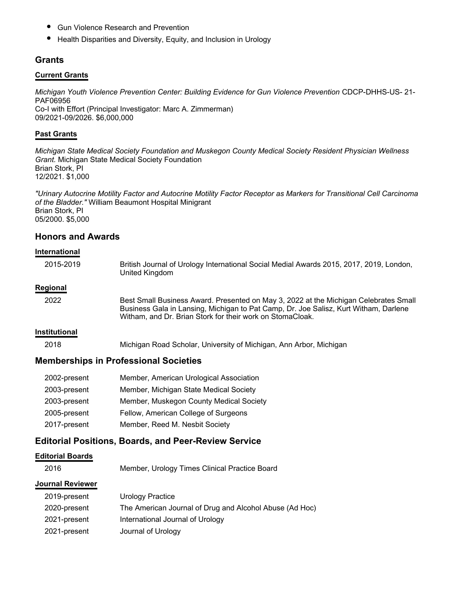- $\bullet$ Gun Violence Research and Prevention
- Health Disparities and Diversity, Equity, and Inclusion in Urology

## **Grants**

#### **Current Grants**

*Michigan Youth Violence Prevention Center: Building Evidence for Gun Violence Prevention* CDCP-DHHS-US- 21- PAF06956 Co-I with Effort (Principal Investigator: Marc A. Zimmerman) 09/2021-09/2026. \$6,000,000

#### **Past Grants**

*Michigan State Medical Society Foundation and Muskegon County Medical Society Resident Physician Wellness Grant.* Michigan State Medical Society Foundation Brian Stork, PI 12/2021. \$1,000

*"Urinary Autocrine Motility Factor and Autocrine Motility Factor Receptor as Markers for Transitional Cell Carcinoma of the Bladder."* William Beaumont Hospital Minigrant Brian Stork, PI 05/2000. \$5,000

## **Honors and Awards**

#### **International**

| 2015-2019            | British Journal of Urology International Social Medial Awards 2015, 2017, 2019, London,<br>United Kingdom                                                                                                                                 |
|----------------------|-------------------------------------------------------------------------------------------------------------------------------------------------------------------------------------------------------------------------------------------|
| Regional             |                                                                                                                                                                                                                                           |
| 2022                 | Best Small Business Award. Presented on May 3, 2022 at the Michigan Celebrates Small<br>Business Gala in Lansing, Michigan to Pat Camp, Dr. Joe Salisz, Kurt Witham, Darlene<br>Witham, and Dr. Brian Stork for their work on StomaCloak. |
| <b>Institutional</b> |                                                                                                                                                                                                                                           |

2018 Michigan Road Scholar, University of Michigan, Ann Arbor, Michigan

## **Memberships in Professional Societies**

| 2002-present | Member, American Urological Association |
|--------------|-----------------------------------------|
| 2003-present | Member, Michigan State Medical Society  |
| 2003-present | Member, Muskegon County Medical Society |
| 2005-present | Fellow, American College of Surgeons    |
| 2017-present | Member, Reed M. Nesbit Society          |

## **Editorial Positions, Boards, and Peer-Review Service**

#### **Editorial Boards**

2016 Member, Urology Times Clinical Practice Board

#### **Journal Reviewer**

| 2019-present | Urology Practice                                        |
|--------------|---------------------------------------------------------|
| 2020-present | The American Journal of Drug and Alcohol Abuse (Ad Hoc) |
| 2021-present | International Journal of Urology                        |
| 2021-present | Journal of Urology                                      |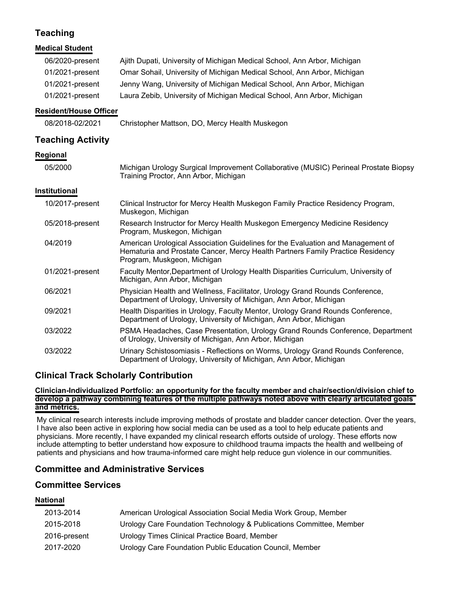# **Teaching**

| <b>Medical Student</b>                                                   |                                                                                                                                                                                                                                                                                                          |
|--------------------------------------------------------------------------|----------------------------------------------------------------------------------------------------------------------------------------------------------------------------------------------------------------------------------------------------------------------------------------------------------|
| 06/2020-present<br>01/2021-present<br>01/2021-present<br>01/2021-present | Ajith Dupati, University of Michigan Medical School, Ann Arbor, Michigan<br>Omar Sohail, University of Michigan Medical School, Ann Arbor, Michigan<br>Jenny Wang, University of Michigan Medical School, Ann Arbor, Michigan<br>Laura Zebib, University of Michigan Medical School, Ann Arbor, Michigan |
| <b>Resident/House Officer</b>                                            |                                                                                                                                                                                                                                                                                                          |
| 08/2018-02/2021                                                          | Christopher Mattson, DO, Mercy Health Muskegon                                                                                                                                                                                                                                                           |
| <b>Teaching Activity</b>                                                 |                                                                                                                                                                                                                                                                                                          |
| Regional                                                                 |                                                                                                                                                                                                                                                                                                          |
| 05/2000                                                                  | Michigan Urology Surgical Improvement Collaborative (MUSIC) Perineal Prostate Biopsy<br>Training Proctor, Ann Arbor, Michigan                                                                                                                                                                            |
| Institutional                                                            |                                                                                                                                                                                                                                                                                                          |
| 10/2017-present                                                          | Clinical Instructor for Mercy Health Muskegon Family Practice Residency Program,<br>Muskegon, Michigan                                                                                                                                                                                                   |
| 05/2018-present                                                          | Research Instructor for Mercy Health Muskegon Emergency Medicine Residency<br>Program, Muskegon, Michigan                                                                                                                                                                                                |
| 04/2019                                                                  | American Urological Association Guidelines for the Evaluation and Management of<br>Hematuria and Prostate Cancer, Mercy Health Partners Family Practice Residency<br>Program, Muskgeon, Michigan                                                                                                         |
| 01/2021-present                                                          | Faculty Mentor, Department of Urology Health Disparities Curriculum, University of<br>Michigan, Ann Arbor, Michigan                                                                                                                                                                                      |
| 06/2021                                                                  | Physician Health and Wellness, Facilitator, Urology Grand Rounds Conference,<br>Department of Urology, University of Michigan, Ann Arbor, Michigan                                                                                                                                                       |
| 09/2021                                                                  | Health Disparities in Urology, Faculty Mentor, Urology Grand Rounds Conference,<br>Department of Urology, University of Michigan, Ann Arbor, Michigan                                                                                                                                                    |
| 03/2022                                                                  | PSMA Headaches, Case Presentation, Urology Grand Rounds Conference, Department<br>of Urology, University of Michigan, Ann Arbor, Michigan                                                                                                                                                                |
| 03/2022                                                                  | Urinary Schistosomiasis - Reflections on Worms, Urology Grand Rounds Conference,<br>Department of Urology, University of Michigan, Ann Arbor, Michigan                                                                                                                                                   |

# **Clinical Track Scholarly Contribution**

**Clinician-Individualized Portfolio: an opportunity for the faculty member and chair/section/division chief to develop a pathway combining features of the multiple pathways noted above with clearly articulated goals and metrics.**

My clinical research interests include improving methods of prostate and bladder cancer detection. Over the years, I have also been active in exploring how social media can be used as a tool to help educate patients and physicians. More recently, I have expanded my clinical research efforts outside of urology. These efforts now include attempting to better understand how exposure to childhood trauma impacts the health and wellbeing of patients and physicians and how trauma-informed care might help reduce gun violence in our communities.

# **Committee and Administrative Services**

# **Committee Services**

## **National**

| 2013-2014    | American Urological Association Social Media Work Group, Member     |
|--------------|---------------------------------------------------------------------|
| 2015-2018    | Urology Care Foundation Technology & Publications Committee, Member |
| 2016-present | Urology Times Clinical Practice Board, Member                       |
| 2017-2020    | Urology Care Foundation Public Education Council, Member            |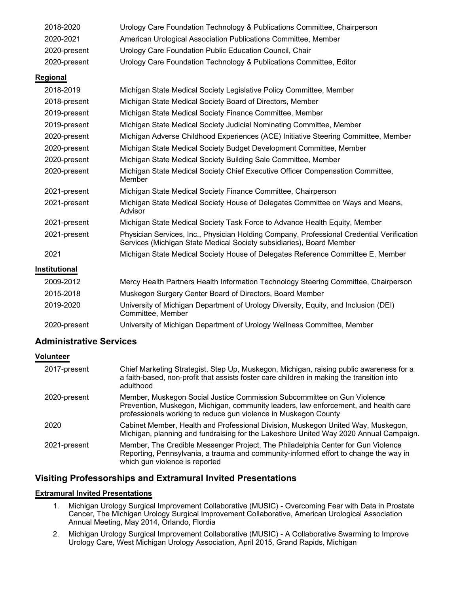| 2018-2020     | Urology Care Foundation Technology & Publications Committee, Chairperson                                                                                          |
|---------------|-------------------------------------------------------------------------------------------------------------------------------------------------------------------|
| 2020-2021     | American Urological Association Publications Committee, Member                                                                                                    |
| 2020-present  | Urology Care Foundation Public Education Council, Chair                                                                                                           |
| 2020-present  | Urology Care Foundation Technology & Publications Committee, Editor                                                                                               |
| Regional      |                                                                                                                                                                   |
| 2018-2019     | Michigan State Medical Society Legislative Policy Committee, Member                                                                                               |
| 2018-present  | Michigan State Medical Society Board of Directors, Member                                                                                                         |
| 2019-present  | Michigan State Medical Society Finance Committee, Member                                                                                                          |
| 2019-present  | Michigan State Medical Society Judicial Nominating Committee, Member                                                                                              |
| 2020-present  | Michigan Adverse Childhood Experiences (ACE) Initiative Steering Committee, Member                                                                                |
| 2020-present  | Michigan State Medical Society Budget Development Committee, Member                                                                                               |
| 2020-present  | Michigan State Medical Society Building Sale Committee, Member                                                                                                    |
| 2020-present  | Michigan State Medical Society Chief Executive Officer Compensation Committee,<br>Member                                                                          |
| 2021-present  | Michigan State Medical Society Finance Committee, Chairperson                                                                                                     |
| 2021-present  | Michigan State Medical Society House of Delegates Committee on Ways and Means,<br>Advisor                                                                         |
| 2021-present  | Michigan State Medical Society Task Force to Advance Health Equity, Member                                                                                        |
| 2021-present  | Physician Services, Inc., Physician Holding Company, Professional Credential Verification<br>Services (Michigan State Medical Society subsidiaries), Board Member |
| 2021          | Michigan State Medical Society House of Delegates Reference Committee E, Member                                                                                   |
| Institutional |                                                                                                                                                                   |
| 2009-2012     | Mercy Health Partners Health Information Technology Steering Committee, Chairperson                                                                               |
| 2015-2018     | Muskegon Surgery Center Board of Directors, Board Member                                                                                                          |
| 2019-2020     | University of Michigan Department of Urology Diversity, Equity, and Inclusion (DEI)<br>Committee, Member                                                          |
|               |                                                                                                                                                                   |

# 2020-present University of Michigan Department of Urology Wellness Committee, Member

# **Administrative Services**

# **Volunteer**

| 2017-present | Chief Marketing Strategist, Step Up, Muskegon, Michigan, raising public awareness for a<br>a faith-based, non-profit that assists foster care children in making the transition into<br>adulthood                                 |
|--------------|-----------------------------------------------------------------------------------------------------------------------------------------------------------------------------------------------------------------------------------|
| 2020-present | Member, Muskegon Social Justice Commission Subcommittee on Gun Violence<br>Prevention, Muskegon, Michigan, community leaders, law enforcement, and health care<br>professionals working to reduce gun violence in Muskegon County |
| 2020         | Cabinet Member, Health and Professional Division, Muskegon United Way, Muskegon,<br>Michigan, planning and fundraising for the Lakeshore United Way 2020 Annual Campaign.                                                         |
| 2021-present | Member, The Credible Messenger Project, The Philadelphia Center for Gun Violence<br>Reporting, Pennsylvania, a trauma and community-informed effort to change the way in<br>which gun violence is reported                        |

# **Visiting Professorships and Extramural Invited Presentations**

## **Extramural Invited Presentations**

- 1. Michigan Urology Surgical Improvement Collaborative (MUSIC) Overcoming Fear with Data in Prostate Cancer, The Michigan Urology Surgical Improvement Collaborative, American Urological Association Annual Meeting, May 2014, Orlando, Flordia
- 2. Michigan Urology Surgical Improvement Collaborative (MUSIC) A Collaborative Swarming to Improve Urology Care, West Michigan Urology Association, April 2015, Grand Rapids, Michigan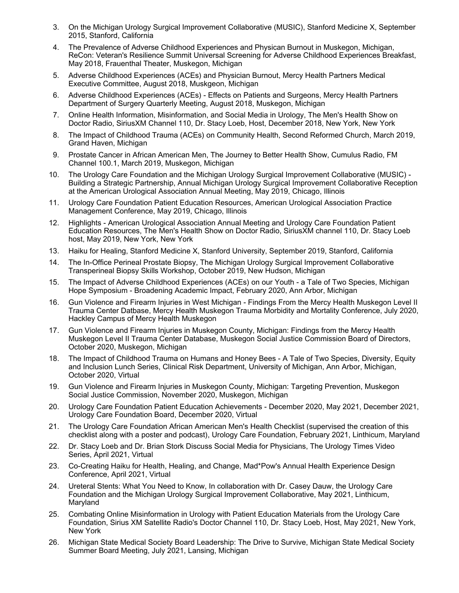- 3. On the Michigan Urology Surgical Improvement Collaborative (MUSIC), Stanford Medicine X, September 2015, Stanford, California
- 4. The Prevalence of Adverse Childhood Experiences and Physican Burnout in Muskegon, Michigan, ReCon: Veteran's Resilience Summit Universal Screening for Adverse Childhood Experiences Breakfast, May 2018, Frauenthal Theater, Muskegon, Michigan
- 5. Adverse Childhood Experiences (ACEs) and Physician Burnout, Mercy Health Partners Medical Executive Committee, August 2018, Muskgeon, Michigan
- 6. Adverse Childhood Experiences (ACEs) Effects on Patients and Surgeons, Mercy Health Partners Department of Surgery Quarterly Meeting, August 2018, Muskegon, Michigan
- 7. Online Health Information, Misinformation, and Social Media in Urology, The Men's Health Show on Doctor Radio, SiriusXM Channel 110, Dr. Stacy Loeb, Host, December 2018, New York, New York
- 8. The Impact of Childhood Trauma (ACEs) on Community Health, Second Reformed Church, March 2019, Grand Haven, Michigan
- 9. Prostate Cancer in African American Men, The Journey to Better Health Show, Cumulus Radio, FM Channel 100.1, March 2019, Muskegon, Michigan
- 10. The Urology Care Foundation and the Michigan Urology Surgical Improvement Collaborative (MUSIC) Building a Strategic Partnership, Annual Michigan Urology Surgical Improvement Collaborative Reception at the American Urological Association Annual Meeting, May 2019, Chicago, Illinois
- 11. Urology Care Foundation Patient Education Resources, American Urological Association Practice Management Conference, May 2019, Chicago, Illinois
- 12. Highlights American Urological Association Annual Meeting and Urology Care Foundation Patient Education Resources, The Men's Health Show on Doctor Radio, SiriusXM channel 110, Dr. Stacy Loeb host, May 2019, New York, New York
- 13. Haiku for Healing, Stanford Medicine X, Stanford University, September 2019, Stanford, California
- 14. The In-Office Perineal Prostate Biopsy, The Michigan Urology Surgical Improvement Collaborative Transperineal Biopsy Skills Workshop, October 2019, New Hudson, Michigan
- 15. The Impact of Adverse Childhood Experiences (ACEs) on our Youth a Tale of Two Species, Michigan Hope Symposium - Broadening Academic Impact, February 2020, Ann Arbor, Michigan
- 16. Gun Violence and Firearm Injuries in West Michigan Findings From the Mercy Health Muskegon Level II Trauma Center Datbase, Mercy Health Muskegon Trauma Morbidity and Mortality Conference, July 2020, Hackley Campus of Mercy Health Muskegon
- 17. Gun Violence and Firearm Injuries in Muskegon County, Michigan: Findings from the Mercy Health Muskegon Level II Trauma Center Database, Muskegon Social Justice Commission Board of Directors, October 2020, Muskegon, Michigan
- 18. The Impact of Childhood Trauma on Humans and Honey Bees A Tale of Two Species, Diversity, Equity and Inclusion Lunch Series, Clinical Risk Department, University of Michigan, Ann Arbor, Michigan, October 2020, Virtual
- 19. Gun Violence and Firearm Injuries in Muskegon County, Michigan: Targeting Prevention, Muskegon Social Justice Commission, November 2020, Muskegon, Michigan
- 20. Urology Care Foundation Patient Education Achievements December 2020, May 2021, December 2021, Urology Care Foundation Board, December 2020, Virtual
- 21. The Urology Care Foundation African American Men's Health Checklist (supervised the creation of this checklist along with a poster and podcast), Urology Care Foundation, February 2021, Linthicum, Maryland
- 22. Dr. Stacy Loeb and Dr. Brian Stork Discuss Social Media for Physicians, The Urology Times Video Series, April 2021, Virtual
- 23. Co-Creating Haiku for Health, Healing, and Change, Mad\*Pow's Annual Health Experience Design Conference, April 2021, Virtual
- 24. Ureteral Stents: What You Need to Know, In collaboration with Dr. Casey Dauw, the Urology Care Foundation and the Michigan Urology Surgical Improvement Collaborative, May 2021, Linthicum, Maryland
- 25. Combating Online Misinformation in Urology with Patient Education Materials from the Urology Care Foundation, Sirius XM Satellite Radio's Doctor Channel 110, Dr. Stacy Loeb, Host, May 2021, New York, New York
- 26. Michigan State Medical Society Board Leadership: The Drive to Survive, Michigan State Medical Society Summer Board Meeting, July 2021, Lansing, Michigan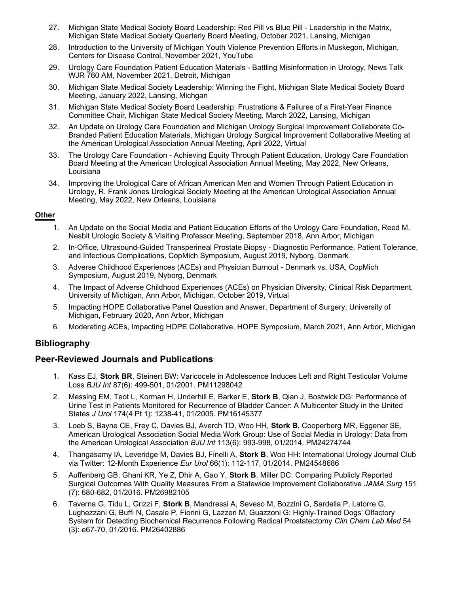- 27. Michigan State Medical Society Board Leadership: Red Pill vs Blue Pill Leadership in the Matrix, Michigan State Medical Society Quarterly Board Meeting, October 2021, Lansing, Michigan
- 28. Introduction to the University of Michigan Youth Violence Prevention Efforts in Muskegon, Michigan, Centers for Disease Control, November 2021, YouTube
- 29. Urology Care Foundation Patient Education Materials Battling Misinformation in Urology, News Talk WJR 760 AM, November 2021, Detroit, Michigan
- 30. Michigan State Medical Society Leadership: Winning the Fight, Michigan State Medical Society Board Meeting, January 2022, Lansing, Michgan
- 31. Michigan State Medical Society Board Leadership: Frustrations & Failures of a First-Year Finance Committee Chair, Michigan State Medical Society Meeting, March 2022, Lansing, Michigan
- 32. An Update on Urology Care Foundation and Michigan Urology Surgical Improvement Collaborate Co-Branded Patient Education Materials, Michigan Urology Surgical Improvement Collaborative Meeting at the American Urological Association Annual Meeting, April 2022, Virtual
- 33. The Urology Care Foundation Achieving Equity Through Patient Education, Urology Care Foundation Board Meeting at the American Urological Association Annual Meeting, May 2022, New Orleans, Louisiana
- 34. Improving the Urological Care of African American Men and Women Through Patient Education in Urology, R. Frank Jones Urological Society Meeting at the American Urological Association Annual Meeting, May 2022, New Orleans, Louisiana

## **Other**

- 1. An Update on the Social Media and Patient Education Efforts of the Urology Care Foundation, Reed M. Nesbit Urologic Society & Visiting Professor Meeting, September 2018, Ann Arbor, Michigan
- 2. In-Office, Ultrasound-Guided Transperineal Prostate Biopsy Diagnostic Performance, Patient Tolerance, and Infectious Complications, CopMich Symposium, August 2019, Nyborg, Denmark
- 3. Adverse Childhood Experiences (ACEs) and Physician Burnout Denmark vs. USA, CopMich Symposium, August 2019, Nyborg, Denmark
- 4. The Impact of Adverse Childhood Experiences (ACEs) on Physician Diversity, Clinical Risk Department, University of Michigan, Ann Arbor, Michigan, October 2019, Virtual
- 5. Impacting HOPE Collaborative Panel Question and Answer, Department of Surgery, University of Michigan, February 2020, Ann Arbor, Michigan
- 6. Moderating ACEs, Impacting HOPE Collaborative, HOPE Symposium, March 2021, Ann Arbor, Michigan

## **Bibliography**

## **Peer-Reviewed Journals and Publications**

- 1. Kass EJ, Stork BR, Steinert BW: Varicocele in Adolescence Induces Left and Right Testicular Volume Loss *BJU Int* 87(6): 499-501, 01/2001. PM11298042
- 2. Messing EM, Teot L, Korman H, Underhill E, Barker E, Stork B, Qian J, Bostwick DG: Performance of Urine Test in Patients Monitored for Recurrence of Bladder Cancer: A Multicenter Study in the United States J Urol 174(4 Pt 1): 1238-41, 01/2005. PM16145377
- 3. Loeb S, Bayne CE, Frey C, Davies BJ, Averch TD, Woo HH, Stork B, Cooperberg MR, Eggener SE, American Urological Association Social Media Work Group: Use of Social Media in Urology: Data from the American Urological Association *BJU Int* 113(6): 993-998, 01/2014. PM24274744
- 4. Thangasamy IA, Leveridge M, Davies BJ, Finelli A, Stork B, Woo HH: International Urology Journal Club via Twitter: 12-Month Experience 66(1): 112-117, 01/2014. PM24548686 *Eur Urol*
- 5. Auffenberg GB, Ghani KR, Ye Z, Dhir A, Gao Y, **Stork B**, Miller DC: Comparing Publicly Reported Surgical Outcomes With Quality Measures From a Statewide Improvement Collaborative *JAMA Surg* 151 (7): 680-682, 01/2016. PM26982105
- 6. Taverna G, Tidu L, Grizzi F, Stork B, Mandressi A, Seveso M, Bozzini G, Sardella P, Latorre G, Lughezzani G, Buffi N, Casale P, Fiorini G, Lazzeri M, Guazzoni G: Highly-Trained Dogs' Olfactory System for Detecting Biochemical Recurrence Following Radical Prostatectomy *Clin Chem Lab Med* 54 (3): e67-70, 01/2016. PM26402886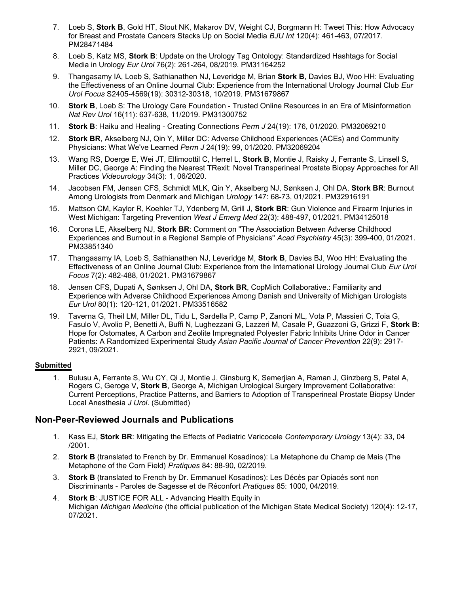- 7. Loeb S, **Stork B**, Gold HT, Stout NK, Makarov DV, Weight CJ, Borgmann H: Tweet This: How Advocacy for Breast and Prostate Cancers Stacks Up on Social Media *BJU Int* 120(4): 461-463, 07/2017. PM28471484
- 8. Loeb S, Katz MS, **Stork B**: Update on the Urology Tag Ontology: Standardized Hashtags for Social Media in Urology 76(2): 261-264, 08/2019. PM31164252 *Eur Urol*
- 9. Thangasamy IA, Loeb S, Sathianathen NJ, Leveridge M, Brian **Stork B**, Davies BJ, Woo HH: Evaluating the Effectiveness of an Online Journal Club: Experience from the International Urology Journal Club *Eur Urol Focus* S2405-4569(19): 30312-30318, 10/2019. PM31679867
- 10. **Stork B**, Loeb S: The Urology Care Foundation Trusted Online Resources in an Era of Misinformation *Nat Rev Urol* 16(11): 637-638, 11/2019. PM31300752
- 11. **Stork B**: Haiku and Healing Creating Connections Perm J 24(19): 176, 01/2020. PM32069210
- 12. **Stork BR**, Akselberg NJ, Qin Y, Miller DC: Adverse Childhood Experiences (ACEs) and Community Physicians: What We've Learned Perm J 24(19): 99, 01/2020. PM32069204
- 13. Wang RS, Doerge E, Wei JT, Ellimoottil C, Herrel L, Stork B, Montie J, Raisky J, Ferrante S, Linsell S, Miller DC, George A: Finding the Nearest TRexit: Novel Transperineal Prostate Biopsy Approaches for All Practices *Videourology* 34(3): 1, 06/2020.
- 14. Jacobsen FM, Jensen CFS, Schmidt MLK, Qin Y, Akselberg NJ, Sønksen J, Ohl DA, Stork BR: Burnout Among Urologists from Denmark and Michigan Urology 147: 68-73, 01/2021. PM32916191
- 15. Mattson CM, Kaylor R, Koehler TJ, Ydenberg M, Grill J, Stork BR: Gun Violence and Firearm Injuries in West Michigan: Targeting Prevention *West J Emerg Med* 22(3): 488-497, 01/2021. PM34125018
- 16. Corona LE, Akselberg NJ, **Stork BR**: Comment on "The Association Between Adverse Childhood Experiences and Burnout in a Regional Sample of Physicians" *Acad Psychiatry* 45(3): 399-400, 01/2021. PM33851340
- 17. Thangasamy IA, Loeb S, Sathianathen NJ, Leveridge M, Stork B, Davies BJ, Woo HH: Evaluating the Effectiveness of an Online Journal Club: Experience from the International Urology Journal Club *Eur Urol Focus* 7(2): 482-488, 01/2021. PM31679867
- 18. Jensen CFS, Dupati A, Sønksen J, Ohl DA, Stork BR, CopMich Collaborative.: Familiarity and Experience with Adverse Childhood Experiences Among Danish and University of Michigan Urologists *Eur Urol* 80(1): 120-121, 01/2021. PM33516582
- 19. Taverna G, Theil LM, Miller DL, Tidu L, Sardella P, Camp P, Zanoni ML, Vota P, Massieri C, Toia G, Fasulo V, Avolio P, Benetti A, Buffi N, Lughezzani G, Lazzeri M, Casale P, Guazzoni G, Grizzi F, **Stork B**: Hope for Ostomates, A Carbon and Zeolite Impregnated Polyester Fabric Inhibits Urine Odor in Cancer Patients: A Randomized Experimental Study *Asian Pacific Journal of Cancer Prevention* 22(9): 2917- 2921, 09/2021.

## **Submitted**

1. Bulusu A, Ferrante S, Wu CY, Qi J, Montie J, Ginsburg K, Semerjian A, Raman J, Ginzberg S, Patel A, Rogers C, Geroge V, Stork B, George A, Michigan Urological Surgery Improvement Collaborative: Current Perceptions, Practice Patterns, and Barriers to Adoption of Transperineal Prostate Biopsy Under Local Anesthesia J Urol. (Submitted)

## **Non-Peer-Reviewed Journals and Publications**

- 1. Kass EJ, Stork BR: Mitigating the Effects of Pediatric Varicocele Contemporary Urology 13(4): 33, 04 /2001.
- 2. **Stork B** (translated to French by Dr. Emmanuel Kosadinos): La Metaphone du Champ de Mais (The Metaphone of the Corn Field) Pratiques 84: 88-90, 02/2019.
- 3. **Stork B** (translated to French by Dr. Emmanuel Kosadinos): Les Décès par Opiacés sont non Discriminants - Paroles de Sagesse et de Réconfort Pratiques 85: 1000, 04/2019.
- 4. **Stork B**: JUSTICE FOR ALL Advancing Health Equity in Michigan *Michigan Medicine* (the official publication of the Michigan State Medical Society) 120(4): 12-17, 07/2021.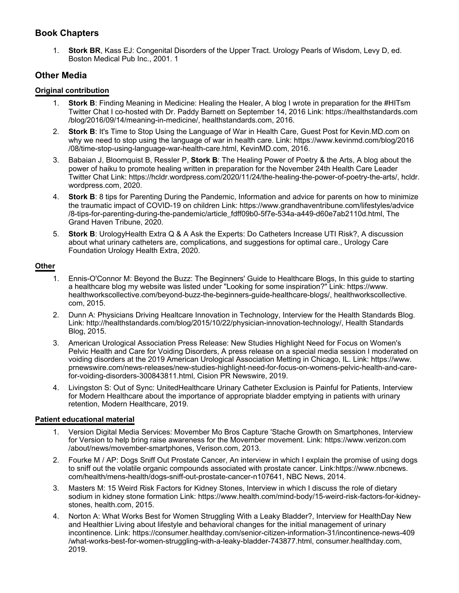# **Book Chapters**

1. **Stork BR**, Kass EJ: Congenital Disorders of the Upper Tract. Urology Pearls of Wisdom, Levy D, ed. Boston Medical Pub Inc., 2001. 1

## **Other Media**

#### **Original contribution**

- **Stork B**: Finding Meaning in Medicine: Healing the Healer, A blog I wrote in preparation for the #HITsm Twitter Chat I co-hosted with Dr. Paddy Barnett on September 14, 2016 Link: https://healthstandards.com /blog/2016/09/14/meaning-in-medicine/, healthstandards.com, 2016.
- 2. **Stork B**: It's Time to Stop Using the Language of War in Health Care, Guest Post for Kevin.MD.com on why we need to stop using the language of war in health care. Link: https://www.kevinmd.com/blog/2016 /08/time-stop-using-language-war-health-care.html, KevinMD.com, 2016.
- 3. Babaian J, Bloomquist B, Ressler P, **Stork B**: The Healing Power of Poetry & the Arts, A blog about the power of haiku to promote healing written in preparation for the November 24th Health Care Leader Twitter Chat Link: https://hcldr.wordpress.com/2020/11/24/the-healing-the-power-of-poetry-the-arts/, hcldr. wordpress.com, 2020.
- 4. **Stork B**: 8 tips for Parenting During the Pandemic, Information and advice for parents on how to minimize the traumatic impact of COVID-19 on children Link: https://www.grandhaventribune.com/lifestyles/advice /8-tips-for-parenting-during-the-pandemic/article\_fdff09b0-5f7e-534a-a449-d60e7ab2110d.html, The Grand Haven Tribune, 2020.
- 5. **Stork B**: UrologyHealth Extra Q & A Ask the Experts: Do Catheters Increase UTI Risk?, A discussion about what urinary catheters are, complications, and suggestions for optimal care., Urology Care Foundation Urology Health Extra, 2020.

## **Other**

- 1. Ennis-O'Connor M: Beyond the Buzz: The Beginners' Guide to Healthcare Blogs, In this guide to starting a healthcare blog my website was listed under "Looking for some inspiration?" Link: https://www. healthworkscollective.com/beyond-buzz-the-beginners-guide-healthcare-blogs/, healthworkscollective. com, 2015.
- 2. Dunn A: Physicians Driving Healtcare Innovation in Technology, Interview for the Health Standards Blog. Link: http://healthstandards.com/blog/2015/10/22/physician-innovation-technology/, Health Standards Blog, 2015.
- 3. American Urological Association Press Release: New Studies Highlight Need for Focus on Women's Pelvic Health and Care for Voiding Disorders, A press release on a special media session I moderated on voiding disorders at the 2019 American Urological Association Metting in Chicago, IL. Link: https://www. prnewswire.com/news-releases/new-studies-highlight-need-for-focus-on-womens-pelvic-health-and-carefor-voiding-disorders-300843811.html, Cision PR Newswire, 2019.
- 4. Livingston S: Out of Sync: UnitedHealthcare Urinary Catheter Exclusion is Painful for Patients, Interview for Modern Healthcare about the importance of appropriate bladder emptying in patients with urinary retention, Modern Healthcare, 2019.

## **Patient educational material**

- 1. Version Digital Media Services: Movember Mo Bros Capture 'Stache Growth on Smartphones, Interview for Version to help bring raise awareness for the Movember movement. Link: https://www.verizon.com /about/news/movember-smartphones, Verison.com, 2013.
- 2. Fourke M / AP: Dogs Sniff Out Prostate Cancer, An interview in which I explain the promise of using dogs to sniff out the volatile organic compounds associated with prostate cancer. Link:https://www.nbcnews. com/health/mens-health/dogs-sniff-out-prostate-cancer-n107641, NBC News, 2014.
- 3. Masters M: 15 Weird Risk Factors for Kidney Stones, Interview in which I discuss the role of dietary sodium in kidney stone formation Link: https://www.health.com/mind-body/15-weird-risk-factors-for-kidneystones, health.com, 2015.
- 4. Norton A: What Works Best for Women Struggling With a Leaky Bladder?, Interview for HealthDay New and Healthier Living about lifestyle and behavioral changes for the initial management of urinary incontinence. Link: https://consumer.healthday.com/senior-citizen-information-31/incontinence-news-409 /what-works-best-for-women-struggling-with-a-leaky-bladder-743877.html, consumer.healthday.com, 2019.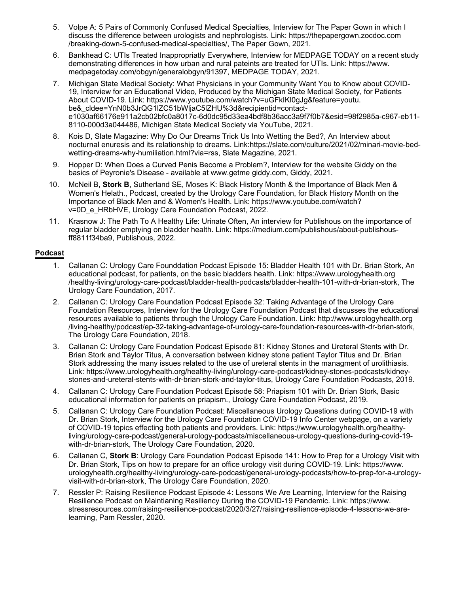- 5. Volpe A: 5 Pairs of Commonly Confused Medical Specialties, Interview for The Paper Gown in which I discuss the difference between urologists and nephrologists. Link: https://thepapergown.zocdoc.com /breaking-down-5-confused-medical-specialties/, The Paper Gown, 2021.
- 6. Bankhead C: UTIs Treated Inappropriatly Everywhere, Interview for MEDPAGE TODAY on a recent study demonstrating differences in how urban and rural pateints are treated for UTIs. Link: https://www. medpagetoday.com/obgyn/generalobgyn/91397, MEDPAGE TODAY, 2021.
- 7. Michigan State Medical Society: What Physicians in your Community Want You to Know about COVID-19, Interview for an Educational Video, Produced by the Michigan State Medical Society, for Patients About COVID-19. Link: https://www.youtube.com/watch?v=uGFkIKl0gJg&feature=youtu. be&\_cldee=YnN0b3JrQG1lZC51bWljaC5lZHU%3d&recipientid=contacte1030af66176e911a2cb02bfc0a8017c-6d0dc95d33ea4bdf8b36acc3a9f7f0b7&esid=98f2985a-c967-eb11- 8110-000d3a044486, Michigan State Medical Society via YouTube, 2021.
- 8. Kois D, Slate Magazine: Why Do Our Dreams Trick Us Into Wetting the Bed?, An Interview about nocturnal enuresis and its relationship to dreams. Link:https://slate.com/culture/2021/02/minari-movie-bedwetting-dreams-why-humiliation.html?via=rss, Slate Magazine, 2021.
- 9. Hopper D: When Does a Curved Penis Become a Problem?, Interview for the website Giddy on the basics of Peyronie's Disease - available at www.getme giddy.com, Giddy, 2021.
- 10. McNeil B, Stork B, Sutherland SE, Moses K: Black History Month & the Importance of Black Men & Women's Helath., Podcast, created by the Urology Care Foundation, for Black History Month on the Importance of Black Men and & Women's Health. Link: https://www.youtube.com/watch? v=0D\_e\_HRbHVE, Urology Care Foundation Podcast, 2022.
- 11. Krasnow J: The Path To A Healthy Life: Urinate Often, An interview for Publishous on the importance of regular bladder emptying on bladder health. Link: https://medium.com/publishous/about-publishousff8811f34ba9, Publishous, 2022.

## **Podcast**

- 1. Callanan C: Urology Care Founddation Podcast Episode 15: Bladder Health 101 with Dr. Brian Stork, An educational podcast, for patients, on the basic bladders health. Link: https://www.urologyhealth.org /healthy-living/urology-care-podcast/bladder-health-podcasts/bladder-health-101-with-dr-brian-stork, The Urology Care Foundation, 2017.
- 2. Callanan C: Urology Care Foundation Podcast Episode 32: Taking Advantage of the Urology Care Foundation Resources, Interview for the Urology Care Foundation Podcast that discusses the educational resources available to patients through the Urology Care Foundation. Link: http://www.urologyhealth.org /living-healthy/podcast/ep-32-taking-advantage-of-urology-care-foundation-resources-with-dr-brian-stork, The Urology Care Foundation, 2018.
- 3. Callanan C: Urology Care Foundation Podcast Episode 81: Kidney Stones and Ureteral Stents with Dr. Brian Stork and Taylor Titus, A conversation between kidney stone patient Taylor Titus and Dr. Brian Stork addressing the many issues related to the use of ureteral stents in the managment of urolithiasis. Link: https://www.urologyhealth.org/healthy-living/urology-care-podcast/kidney-stones-podcasts/kidneystones-and-ureteral-stents-with-dr-brian-stork-and-taylor-titus, Urology Care Foundation Podcasts, 2019.
- 4. Callanan C: Urology Care Foundation Podcast Episode 58: Priapism 101 with Dr. Brian Stork, Basic educational information for patients on priapism., Urology Care Foundation Podcast, 2019.
- 5. Callanan C: Urology Care Foundation Podcast: Miscellaneous Urology Questions during COVID-19 with Dr. Brian Stork, Interview for the Urology Care Foundation COVID-19 Info Center webpage, on a variety of COVID-19 topics effecting both patients and providers. Link: https://www.urologyhealth.org/healthyliving/urology-care-podcast/general-urology-podcasts/miscellaneous-urology-questions-during-covid-19 with-dr-brian-stork, The Urology Care Foundation, 2020.
- 6. Callanan C, **Stork B**: Urology Care Foundation Podcast Episode 141: How to Prep for a Urology Visit with Dr. Brian Stork, Tips on how to prepare for an office urology visit during COVID-19. Link: https://www. urologyhealth.org/healthy-living/urology-care-podcast/general-urology-podcasts/how-to-prep-for-a-urologyvisit-with-dr-brian-stork, The Urology Care Foundation, 2020.
- 7. Ressler P: Raising Resilience Podcast Episode 4: Lessons We Are Learning, Interview for the Raising Resilience Podcast on Maintianing Resiliency During the COVID-19 Pandemic. Link: https://www. stressresources.com/raising-resilience-podcast/2020/3/27/raising-resilience-episode-4-lessons-we-arelearning, Pam Ressler, 2020.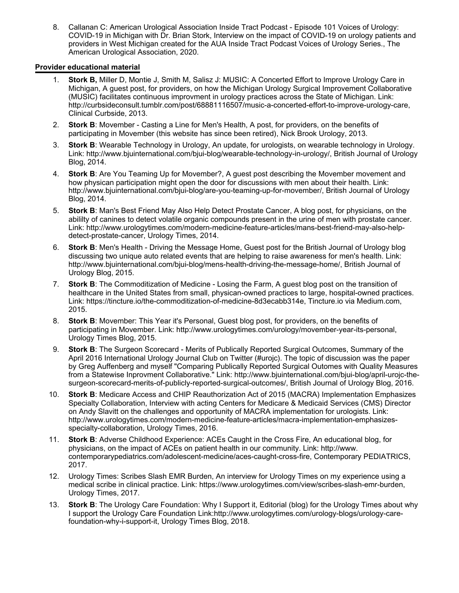8. Callanan C: American Urological Association Inside Tract Podcast - Episode 101 Voices of Urology: COVID-19 in Michigan with Dr. Brian Stork, Interview on the impact of COVID-19 on urology patients and providers in West Michigan created for the AUA Inside Tract Podcast Voices of Urology Series., The American Urological Association, 2020.

#### **Provider educational material**

- 1. **Stork B,** Miller D, Montie J, Smith M, Salisz J: MUSIC: A Concerted Effort to Improve Urology Care in Michigan, A guest post, for providers, on how the Michigan Urology Surgical Improvement Collaborative (MUSIC) facilitates continuous improvment in urology practices across the State of Michigan. Link: http://curbsideconsult.tumblr.com/post/68881116507/music-a-concerted-effort-to-improve-urology-care, Clinical Curbside, 2013.
- 2. **Stork B**: Movember Casting a Line for Men's Health, A post, for providers, on the benefits of participating in Movember (this website has since been retired), Nick Brook Urology, 2013.
- 3. **Stork B**: Wearable Technology in Urology, An update, for urologists, on wearable technology in Urology. Link: http://www.bjuinternational.com/bjui-blog/wearable-technology-in-urology/, British Journal of Urology Blog, 2014.
- 4. **Stork B**: Are You Teaming Up for Movember?, A guest post describing the Movember movement and how physican participation might open the door for discussions with men about their health. Link: http://www.bjuinternational.com/bjui-blog/are-you-teaming-up-for-movember/, British Journal of Urology Blog, 2014.
- 5. **Stork B**: Man's Best Friend May Also Help Detect Prostate Cancer, A blog post, for physicians, on the abililty of canines to detect volatile organic compounds present in the urine of men with prostate cancer. Link: http://www.urologytimes.com/modern-medicine-feature-articles/mans-best-friend-may-also-helpdetect-prostate-cancer, Urology Times, 2014.
- 6. **Stork B**: Men's Health Driving the Message Home, Guest post for the British Journal of Urology blog discussing two unique auto related events that are helping to raise awareness for men's health. Link: http://www.bjuinternational.com/bjui-blog/mens-health-driving-the-message-home/, British Journal of Urology Blog, 2015.
- 7. **Stork B**: The Commoditization of Medicine Losing the Farm, A guest blog post on the transition of healthcare in the United States from small, physican-owned practices to large, hospital-owned practices. Link: https://tincture.io/the-commoditization-of-medicine-8d3ecabb314e, Tincture.io via Medium.com, 2015.
- 8. **Stork B**: Movember: This Year it's Personal, Guest blog post, for providers, on the benefits of participating in Movember. Link: http://www.urologytimes.com/urology/movember-year-its-personal, Urology Times Blog, 2015.
- 9. **Stork B**: The Surgeon Scorecard Merits of Publically Reported Surgical Outcomes, Summary of the April 2016 International Urology Journal Club on Twitter (#urojc). The topic of discussion was the paper by Greg Auffenberg and myself "Comparing Publically Reported Surgical Outomes with Quality Measures from a Statewise Inprovment Collaborative." Link: http://www.bjuinternational.com/bjui-blog/april-urojc-thesurgeon-scorecard-merits-of-publicly-reported-surgical-outcomes/, British Journal of Urology Blog, 2016.
- 10. **Stork B**: Medicare Access and CHIP Reauthorization Act of 2015 (MACRA) Implementation Emphasizes Specialty Collaboration, Interview with acting Centers for Medicare & Medicaid Services (CMS) Director on Andy Slavitt on the challenges and opportunity of MACRA implementation for urologists. Link: http://www.urologytimes.com/modern-medicine-feature-articles/macra-implementation-emphasizesspecialty-collaboration, Urology Times, 2016.
- 11. **Stork B**: Adverse Childhood Experience: ACEs Caught in the Cross Fire, An educational blog, for physicians, on the impact of ACEs on patient health in our community. Link: http://www. contemporarypediatrics.com/adolescent-medicine/aces-caught-cross-fire, Contemporary PEDIATRICS, 2017.
- 12. Urology Times: Scribes Slash EMR Burden, An interview for Urology Times on my experience using a medical scribe in clinical practice. Link: https://www.urologytimes.com/view/scribes-slash-emr-burden, Urology Times, 2017.
- 13. **Stork B**: The Urology Care Foundation: Why I Support it, Editorial (blog) for the Urology Times about why I support the Urology Care Foundation Link:http://www.urologytimes.com/urology-blogs/urology-carefoundation-why-i-support-it, Urology Times Blog, 2018.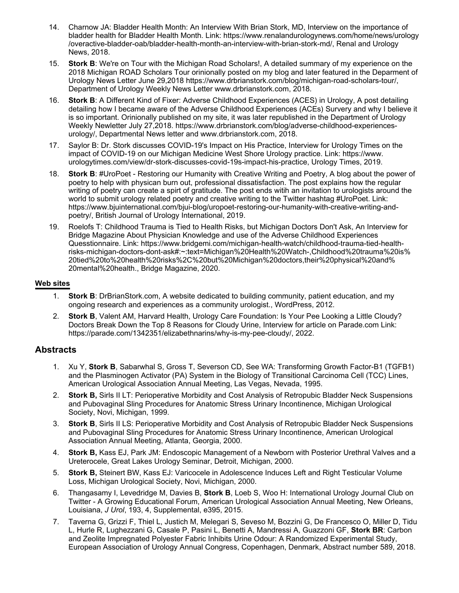- 14. Charnow JA: Bladder Health Month: An Interview With Brian Stork, MD, Interview on the importance of bladder health for Bladder Health Month. Link: https://www.renalandurologynews.com/home/news/urology /overactive-bladder-oab/bladder-health-month-an-interview-with-brian-stork-md/, Renal and Urology News, 2018.
- 15. **Stork B**: We're on Tour with the Michigan Road Scholars!, A detailed summary of my experience on the 2018 Michigan ROAD Scholars Tour orinionally posted on my blog and later featured in the Deparment of Urology News Letter June 29,2018 https://www.drbrianstork.com/blog/michigan-road-scholars-tour/, Department of Urology Weekly News Letter www.drbrianstork.com, 2018.
- 16. **Stork B**: A Different Kind of Fixer: Adverse Childhood Experiences (ACES) in Urology, A post detailing detailing how I became aware of the Adverse Childhood Experiences (ACEs) Survery and why I believe it is so important. Orinionally published on my site, it was later republished in the Department of Urology Weekly Newletter July 27,2018. https://www.drbrianstork.com/blog/adverse-childhood-experiencesurology/, Departmental News letter and www.drbrianstork.com, 2018.
- 17. Saylor B: Dr. Stork discusses COVID-19's Impact on His Practice, Interview for Urology Times on the impact of COVID-19 on our Michigan Medicine West Shore Urology practice. Link: https://www. urologytimes.com/view/dr-stork-discusses-covid-19s-impact-his-practice, Urology Times, 2019.
- 18. **Stork B**: #UroPoet Restoring our Humanity with Creative Writing and Poetry, A blog about the power of poetry to help with physican burn out, professional dissatisfaction. The post explains how the regular writing of poetry can create a spirt of gratitude. The post ends witih an invitation to urologists around the world to submit urology related poetry and creative writing to the Twitter hashtag #UroPoet. Link: https://www.bjuinternational.com/bjui-blog/uropoet-restoring-our-humanity-with-creative-writing-andpoetry/, British Journal of Urology International, 2019.
- 19. Roelofs T: Childhood Trauma is Tied to Health Risks, but Michigan Doctors Don't Ask, An Interview for Bridge Magazine About Physician Knowledge and use of the Adverse Childhood Experiences Quesstionnaire. Link: https://www.bridgemi.com/michigan-health-watch/childhood-trauma-tied-healthrisks-michigan-doctors-dont-ask#:~:text=Michigan%20Health%20Watch-,Childhood%20trauma%20is% 20tied%20to%20health%20risks%2C%20but%20Michigan%20doctors,their%20physical%20and% 20mental%20health., Bridge Magazine, 2020.

#### **Web sites**

- 1. **Stork B**: DrBrianStork.com, A website dedicated to building community, patient education, and my ongoing research and experiences as a community urologist., WordPress, 2012.
- 2. **Stork B**, Valent AM, Harvard Health, Urology Care Foundation: Is Your Pee Looking a Little Cloudy? Doctors Break Down the Top 8 Reasons for Cloudy Urine, Interview for article on Parade.com Link: https://parade.com/1342351/elizabethnarins/why-is-my-pee-cloudy/, 2022.

## **Abstracts**

- 1. Xu Y, Stork B, Sabarwhal S, Gross T, Severson CD, See WA: Transforming Growth Factor-B1 (TGFB1) and the Plasminogen Activator (PA) System in the Biology of Transitional Carcinoma Cell (TCC) Lines, American Urological Association Annual Meeting, Las Vegas, Nevada, 1995.
- 2. **Stork B,** Sirls II LT: Perioperative Morbidity and Cost Analysis of Retropubic Bladder Neck Suspensions and Pubovaginal Sling Procedures for Anatomic Stress Urinary Incontinence, Michigan Urological Society, Novi, Michigan, 1999.
- 3. **Stork B**, Sirls II LS: Perioperative Morbidity and Cost Analysis of Retropubic Bladder Neck Suspensions and Pubovaginal Sling Procedures for Anatomic Stress Urinary Incontinence, American Urological Association Annual Meeting, Atlanta, Georgia, 2000.
- 4. **Stork B,** Kass EJ, Park JM: Endoscopic Management of a Newborn with Posterior Urethral Valves and a Ureterocele, Great Lakes Urology Seminar, Detroit, Michigan, 2000.
- 5. **Stork B,** Steinert BW, Kass EJ: Varicocele in Adolescence Induces Left and Right Testicular Volume Loss, Michigan Urological Society, Novi, Michigan, 2000.
- 6. Thangasamy I, Levedridge M, Davies B, Stork B, Loeb S, Woo H: International Urology Journal Club on Twitter - A Growing Educational Forum, American Urological Association Annual Meeting, New Orleans, Louisiana, J Urol, 193, 4, Supplemental, e395, 2015.
- 7. Taverna G, Grizzi F, Thiel L, Justich M, Melegari S, Seveso M, Bozzini G, De Francesco O, Miller D, Tidu L, Hurle R, Lughezzani G, Casale P, Pasini L, Benetti A, Mandressi A, Guazzoni GF, **Stork BR**: Carbon and Zeolite Impregnated Polyester Fabric Inhibits Urine Odour: A Randomized Experimental Study, European Association of Urology Annual Congress, Copenhagen, Denmark, Abstract number 589, 2018.